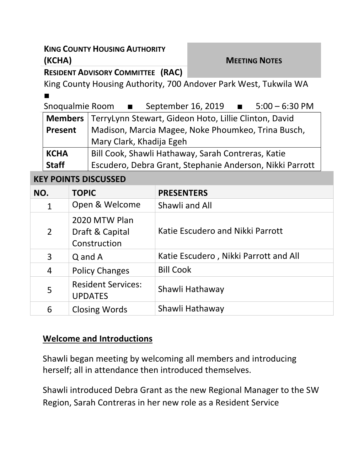# **KING COUNTY HOUSING AUTHORITY (KCHA) MEETING NOTES**

**RESIDENT ADVISORY COMMITTEE (RAC)**

King County Housing Authority, 700 Andover Park West, Tukwila WA ■

| Snoqualmie Room | September 16, 2019 | $5:00 - 6:30$ PM |
|-----------------|--------------------|------------------|
|                 |                    |                  |

|              | Members   TerryLynn Stewart, Gideon Hoto, Lillie Clinton, David |  |  |
|--------------|-----------------------------------------------------------------|--|--|
| Present      | Madison, Marcia Magee, Noke Phoumkeo, Trina Busch,              |  |  |
|              | Mary Clark, Khadija Egeh                                        |  |  |
| <b>KCHA</b>  | Bill Cook, Shawli Hathaway, Sarah Contreras, Katie              |  |  |
| <b>Staff</b> | Escudero, Debra Grant, Stephanie Anderson, Nikki Parrott        |  |  |

#### **KEY POINTS DISCUSSED**

| NO.            | <b>TOPIC</b>                                     | <b>PRESENTERS</b>                     |
|----------------|--------------------------------------------------|---------------------------------------|
| $\mathbf{1}$   | Open & Welcome                                   | Shawli and All                        |
| $\overline{2}$ | 2020 MTW Plan<br>Draft & Capital<br>Construction | Katie Escudero and Nikki Parrott      |
| 3              | Q and A                                          | Katie Escudero, Nikki Parrott and All |
| 4              | <b>Policy Changes</b>                            | <b>Bill Cook</b>                      |
| 5              | <b>Resident Services:</b><br><b>UPDATES</b>      | Shawli Hathaway                       |
| 6              | <b>Closing Words</b>                             | Shawli Hathaway                       |

#### **Welcome and Introductions**

Shawli began meeting by welcoming all members and introducing herself; all in attendance then introduced themselves.

Shawli introduced Debra Grant as the new Regional Manager to the SW Region, Sarah Contreras in her new role as a Resident Service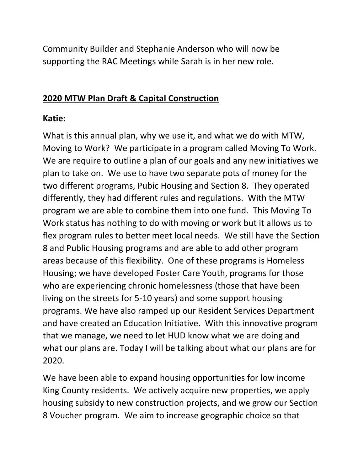Community Builder and Stephanie Anderson who will now be supporting the RAC Meetings while Sarah is in her new role.

#### **2020 MTW Plan Draft & Capital Construction**

#### **Katie:**

What is this annual plan, why we use it, and what we do with MTW, Moving to Work? We participate in a program called Moving To Work. We are require to outline a plan of our goals and any new initiatives we plan to take on. We use to have two separate pots of money for the two different programs, Pubic Housing and Section 8. They operated differently, they had different rules and regulations. With the MTW program we are able to combine them into one fund. This Moving To Work status has nothing to do with moving or work but it allows us to flex program rules to better meet local needs. We still have the Section 8 and Public Housing programs and are able to add other program areas because of this flexibility. One of these programs is Homeless Housing; we have developed Foster Care Youth, programs for those who are experiencing chronic homelessness (those that have been living on the streets for 5-10 years) and some support housing programs. We have also ramped up our Resident Services Department and have created an Education Initiative. With this innovative program that we manage, we need to let HUD know what we are doing and what our plans are. Today I will be talking about what our plans are for 2020.

We have been able to expand housing opportunities for low income King County residents. We actively acquire new properties, we apply housing subsidy to new construction projects, and we grow our Section 8 Voucher program. We aim to increase geographic choice so that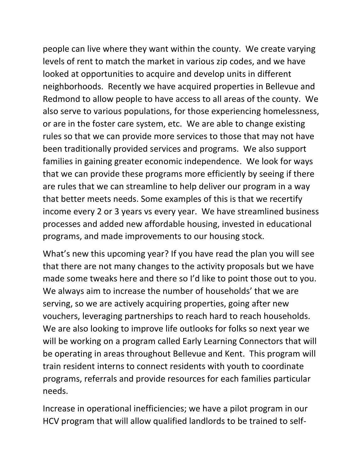people can live where they want within the county. We create varying levels of rent to match the market in various zip codes, and we have looked at opportunities to acquire and develop units in different neighborhoods. Recently we have acquired properties in Bellevue and Redmond to allow people to have access to all areas of the county. We also serve to various populations, for those experiencing homelessness, or are in the foster care system, etc. We are able to change existing rules so that we can provide more services to those that may not have been traditionally provided services and programs. We also support families in gaining greater economic independence. We look for ways that we can provide these programs more efficiently by seeing if there are rules that we can streamline to help deliver our program in a way that better meets needs. Some examples of this is that we recertify income every 2 or 3 years vs every year. We have streamlined business processes and added new affordable housing, invested in educational programs, and made improvements to our housing stock.

What's new this upcoming year? If you have read the plan you will see that there are not many changes to the activity proposals but we have made some tweaks here and there so I'd like to point those out to you. We always aim to increase the number of households' that we are serving, so we are actively acquiring properties, going after new vouchers, leveraging partnerships to reach hard to reach households. We are also looking to improve life outlooks for folks so next year we will be working on a program called Early Learning Connectors that will be operating in areas throughout Bellevue and Kent. This program will train resident interns to connect residents with youth to coordinate programs, referrals and provide resources for each families particular needs.

Increase in operational inefficiencies; we have a pilot program in our HCV program that will allow qualified landlords to be trained to self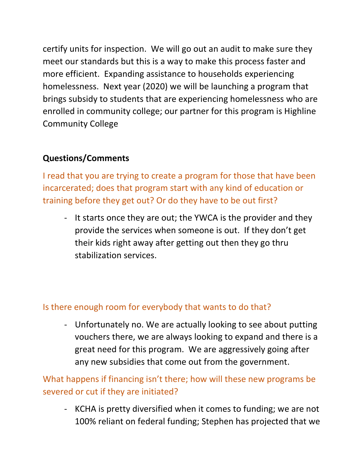certify units for inspection. We will go out an audit to make sure they meet our standards but this is a way to make this process faster and more efficient. Expanding assistance to households experiencing homelessness. Next year (2020) we will be launching a program that brings subsidy to students that are experiencing homelessness who are enrolled in community college; our partner for this program is Highline Community College

## **Questions/Comments**

I read that you are trying to create a program for those that have been incarcerated; does that program start with any kind of education or training before they get out? Or do they have to be out first?

- It starts once they are out; the YWCA is the provider and they provide the services when someone is out. If they don't get their kids right away after getting out then they go thru stabilization services.

#### Is there enough room for everybody that wants to do that?

- Unfortunately no. We are actually looking to see about putting vouchers there, we are always looking to expand and there is a great need for this program. We are aggressively going after any new subsidies that come out from the government.

What happens if financing isn't there; how will these new programs be severed or cut if they are initiated?

- KCHA is pretty diversified when it comes to funding; we are not 100% reliant on federal funding; Stephen has projected that we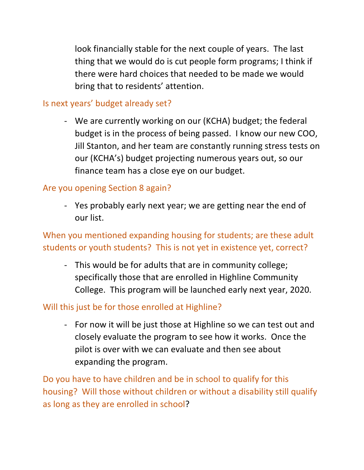look financially stable for the next couple of years. The last thing that we would do is cut people form programs; I think if there were hard choices that needed to be made we would bring that to residents' attention.

### Is next years' budget already set?

- We are currently working on our (KCHA) budget; the federal budget is in the process of being passed. I know our new COO, Jill Stanton, and her team are constantly running stress tests on our (KCHA's) budget projecting numerous years out, so our finance team has a close eye on our budget.

### Are you opening Section 8 again?

- Yes probably early next year; we are getting near the end of our list.

When you mentioned expanding housing for students; are these adult students or youth students? This is not yet in existence yet, correct?

- This would be for adults that are in community college; specifically those that are enrolled in Highline Community College. This program will be launched early next year, 2020.

## Will this just be for those enrolled at Highline?

- For now it will be just those at Highline so we can test out and closely evaluate the program to see how it works. Once the pilot is over with we can evaluate and then see about expanding the program.

Do you have to have children and be in school to qualify for this housing? Will those without children or without a disability still qualify as long as they are enrolled in school?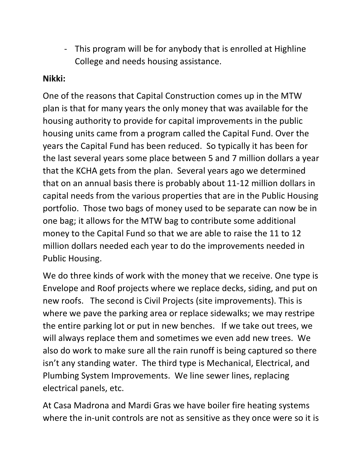- This program will be for anybody that is enrolled at Highline College and needs housing assistance.

### **Nikki:**

One of the reasons that Capital Construction comes up in the MTW plan is that for many years the only money that was available for the housing authority to provide for capital improvements in the public housing units came from a program called the Capital Fund. Over the years the Capital Fund has been reduced. So typically it has been for the last several years some place between 5 and 7 million dollars a year that the KCHA gets from the plan. Several years ago we determined that on an annual basis there is probably about 11-12 million dollars in capital needs from the various properties that are in the Public Housing portfolio. Those two bags of money used to be separate can now be in one bag; it allows for the MTW bag to contribute some additional money to the Capital Fund so that we are able to raise the 11 to 12 million dollars needed each year to do the improvements needed in Public Housing.

We do three kinds of work with the money that we receive. One type is Envelope and Roof projects where we replace decks, siding, and put on new roofs. The second is Civil Projects (site improvements). This is where we pave the parking area or replace sidewalks; we may restripe the entire parking lot or put in new benches. If we take out trees, we will always replace them and sometimes we even add new trees. We also do work to make sure all the rain runoff is being captured so there isn't any standing water. The third type is Mechanical, Electrical, and Plumbing System Improvements. We line sewer lines, replacing electrical panels, etc.

At Casa Madrona and Mardi Gras we have boiler fire heating systems where the in-unit controls are not as sensitive as they once were so it is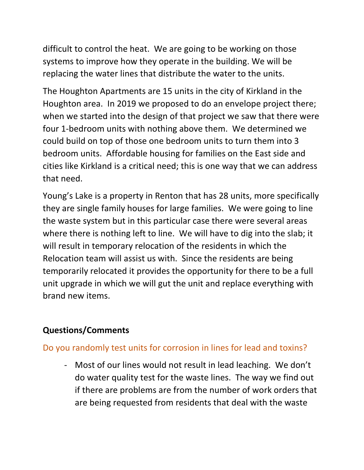difficult to control the heat. We are going to be working on those systems to improve how they operate in the building. We will be replacing the water lines that distribute the water to the units.

The Houghton Apartments are 15 units in the city of Kirkland in the Houghton area. In 2019 we proposed to do an envelope project there; when we started into the design of that project we saw that there were four 1-bedroom units with nothing above them. We determined we could build on top of those one bedroom units to turn them into 3 bedroom units. Affordable housing for families on the East side and cities like Kirkland is a critical need; this is one way that we can address that need.

Young's Lake is a property in Renton that has 28 units, more specifically they are single family houses for large families. We were going to line the waste system but in this particular case there were several areas where there is nothing left to line. We will have to dig into the slab; it will result in temporary relocation of the residents in which the Relocation team will assist us with. Since the residents are being temporarily relocated it provides the opportunity for there to be a full unit upgrade in which we will gut the unit and replace everything with brand new items.

## **Questions/Comments**

## Do you randomly test units for corrosion in lines for lead and toxins?

- Most of our lines would not result in lead leaching. We don't do water quality test for the waste lines. The way we find out if there are problems are from the number of work orders that are being requested from residents that deal with the waste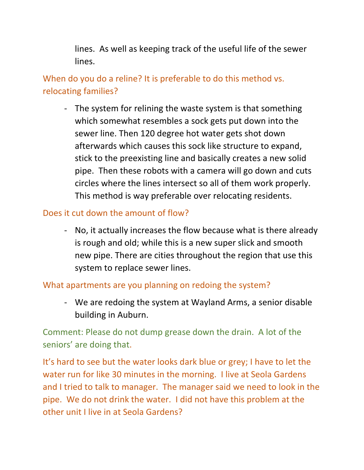lines. As well as keeping track of the useful life of the sewer lines.

When do you do a reline? It is preferable to do this method vs. relocating families?

- The system for relining the waste system is that something which somewhat resembles a sock gets put down into the sewer line. Then 120 degree hot water gets shot down afterwards which causes this sock like structure to expand, stick to the preexisting line and basically creates a new solid pipe. Then these robots with a camera will go down and cuts circles where the lines intersect so all of them work properly. This method is way preferable over relocating residents.

### Does it cut down the amount of flow?

- No, it actually increases the flow because what is there already is rough and old; while this is a new super slick and smooth new pipe. There are cities throughout the region that use this system to replace sewer lines.

#### What apartments are you planning on redoing the system?

- We are redoing the system at Wayland Arms, a senior disable building in Auburn.

Comment: Please do not dump grease down the drain. A lot of the seniors' are doing that.

It's hard to see but the water looks dark blue or grey; I have to let the water run for like 30 minutes in the morning. I live at Seola Gardens and I tried to talk to manager. The manager said we need to look in the pipe. We do not drink the water. I did not have this problem at the other unit I live in at Seola Gardens?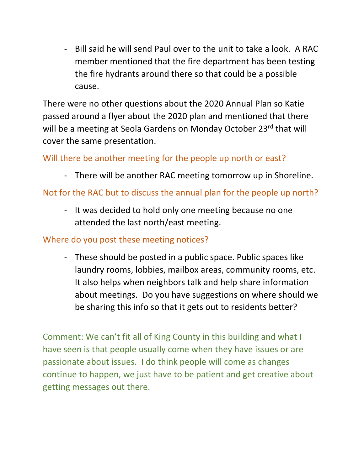- Bill said he will send Paul over to the unit to take a look. A RAC member mentioned that the fire department has been testing the fire hydrants around there so that could be a possible cause.

There were no other questions about the 2020 Annual Plan so Katie passed around a flyer about the 2020 plan and mentioned that there will be a meeting at Seola Gardens on Monday October 23rd that will cover the same presentation.

## Will there be another meeting for the people up north or east?

- There will be another RAC meeting tomorrow up in Shoreline.

# Not for the RAC but to discuss the annual plan for the people up north?

- It was decided to hold only one meeting because no one attended the last north/east meeting.

### Where do you post these meeting notices?

- These should be posted in a public space. Public spaces like laundry rooms, lobbies, mailbox areas, community rooms, etc. It also helps when neighbors talk and help share information about meetings. Do you have suggestions on where should we be sharing this info so that it gets out to residents better?

Comment: We can't fit all of King County in this building and what I have seen is that people usually come when they have issues or are passionate about issues. I do think people will come as changes continue to happen, we just have to be patient and get creative about getting messages out there.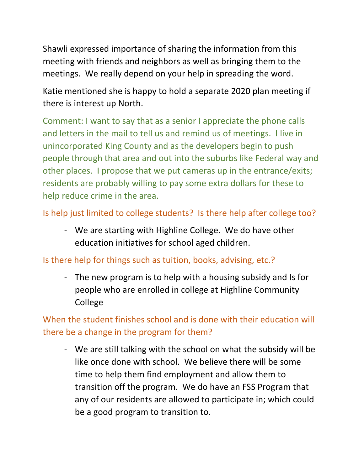Shawli expressed importance of sharing the information from this meeting with friends and neighbors as well as bringing them to the meetings. We really depend on your help in spreading the word.

Katie mentioned she is happy to hold a separate 2020 plan meeting if there is interest up North.

Comment: I want to say that as a senior I appreciate the phone calls and letters in the mail to tell us and remind us of meetings. I live in unincorporated King County and as the developers begin to push people through that area and out into the suburbs like Federal way and other places. I propose that we put cameras up in the entrance/exits; residents are probably willing to pay some extra dollars for these to help reduce crime in the area.

Is help just limited to college students? Is there help after college too?

- We are starting with Highline College. We do have other education initiatives for school aged children.

## Is there help for things such as tuition, books, advising, etc.?

- The new program is to help with a housing subsidy and Is for people who are enrolled in college at Highline Community College

When the student finishes school and is done with their education will there be a change in the program for them?

- We are still talking with the school on what the subsidy will be like once done with school. We believe there will be some time to help them find employment and allow them to transition off the program. We do have an FSS Program that any of our residents are allowed to participate in; which could be a good program to transition to.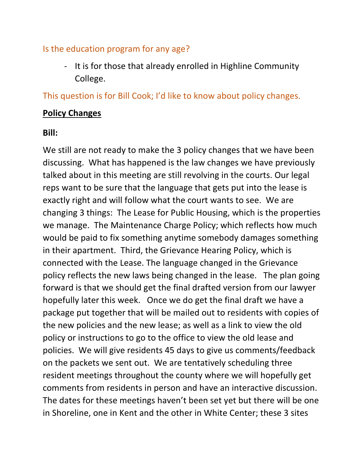#### Is the education program for any age?

- It is for those that already enrolled in Highline Community College.

This question is for Bill Cook; I'd like to know about policy changes.

#### **Policy Changes**

#### **Bill:**

We still are not ready to make the 3 policy changes that we have been discussing. What has happened is the law changes we have previously talked about in this meeting are still revolving in the courts. Our legal reps want to be sure that the language that gets put into the lease is exactly right and will follow what the court wants to see. We are changing 3 things: The Lease for Public Housing, which is the properties we manage. The Maintenance Charge Policy; which reflects how much would be paid to fix something anytime somebody damages something in their apartment. Third, the Grievance Hearing Policy, which is connected with the Lease. The language changed in the Grievance policy reflects the new laws being changed in the lease. The plan going forward is that we should get the final drafted version from our lawyer hopefully later this week. Once we do get the final draft we have a package put together that will be mailed out to residents with copies of the new policies and the new lease; as well as a link to view the old policy or instructions to go to the office to view the old lease and policies. We will give residents 45 days to give us comments/feedback on the packets we sent out. We are tentatively scheduling three resident meetings throughout the county where we will hopefully get comments from residents in person and have an interactive discussion. The dates for these meetings haven't been set yet but there will be one in Shoreline, one in Kent and the other in White Center; these 3 sites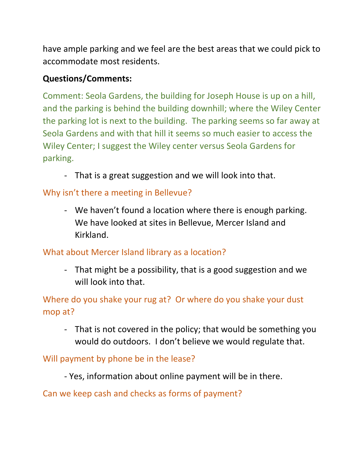have ample parking and we feel are the best areas that we could pick to accommodate most residents.

### **Questions/Comments:**

Comment: Seola Gardens, the building for Joseph House is up on a hill, and the parking is behind the building downhill; where the Wiley Center the parking lot is next to the building. The parking seems so far away at Seola Gardens and with that hill it seems so much easier to access the Wiley Center; I suggest the Wiley center versus Seola Gardens for parking.

- That is a great suggestion and we will look into that.

# Why isn't there a meeting in Bellevue?

- We haven't found a location where there is enough parking. We have looked at sites in Bellevue, Mercer Island and Kirkland.

## What about Mercer Island library as a location?

- That might be a possibility, that is a good suggestion and we will look into that.

Where do you shake your rug at? Or where do you shake your dust mop at?

- That is not covered in the policy; that would be something you would do outdoors. I don't believe we would regulate that.

## Will payment by phone be in the lease?

- Yes, information about online payment will be in there.

Can we keep cash and checks as forms of payment?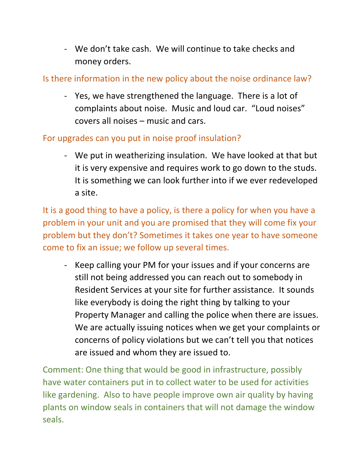- We don't take cash. We will continue to take checks and money orders.

### Is there information in the new policy about the noise ordinance law?

- Yes, we have strengthened the language. There is a lot of complaints about noise. Music and loud car. "Loud noises" covers all noises – music and cars.

#### For upgrades can you put in noise proof insulation?

- We put in weatherizing insulation. We have looked at that but it is very expensive and requires work to go down to the studs. It is something we can look further into if we ever redeveloped a site.

It is a good thing to have a policy, is there a policy for when you have a problem in your unit and you are promised that they will come fix your problem but they don't? Sometimes it takes one year to have someone come to fix an issue; we follow up several times.

- Keep calling your PM for your issues and if your concerns are still not being addressed you can reach out to somebody in Resident Services at your site for further assistance. It sounds like everybody is doing the right thing by talking to your Property Manager and calling the police when there are issues. We are actually issuing notices when we get your complaints or concerns of policy violations but we can't tell you that notices are issued and whom they are issued to.

Comment: One thing that would be good in infrastructure, possibly have water containers put in to collect water to be used for activities like gardening. Also to have people improve own air quality by having plants on window seals in containers that will not damage the window seals.